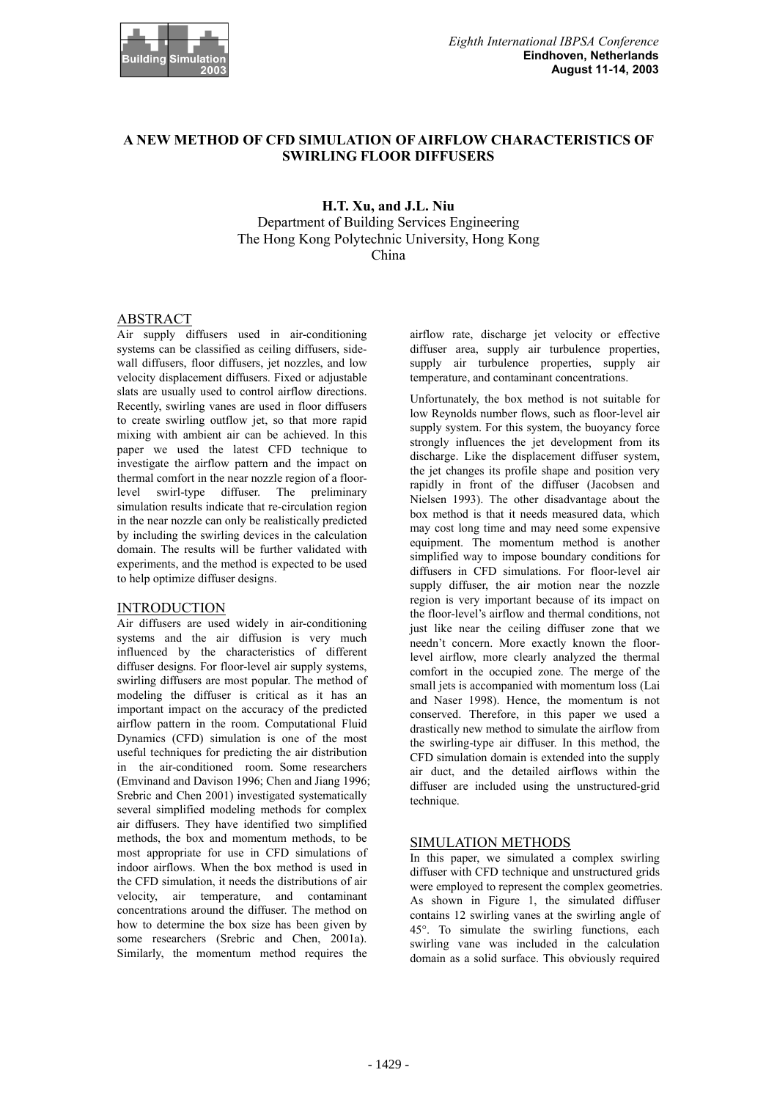

# **A NEW METHOD OF CFD SIMULATION OF AIRFLOW CHARACTERISTICS OF SWIRLING FLOOR DIFFUSERS**

## **H.T. Xu, and J.L. Niu**  Department of Building Services Engineering The Hong Kong Polytechnic University, Hong Kong China

### ABSTRACT

Air supply diffusers used in air-conditioning systems can be classified as ceiling diffusers, sidewall diffusers, floor diffusers, jet nozzles, and low velocity displacement diffusers. Fixed or adjustable slats are usually used to control airflow directions. Recently, swirling vanes are used in floor diffusers to create swirling outflow jet, so that more rapid mixing with ambient air can be achieved. In this paper we used the latest CFD technique to investigate the airflow pattern and the impact on thermal comfort in the near nozzle region of a floorlevel swirl-type diffuser. The preliminary simulation results indicate that re-circulation region in the near nozzle can only be realistically predicted by including the swirling devices in the calculation domain. The results will be further validated with experiments, and the method is expected to be used to help optimize diffuser designs.

### INTRODUCTION

Air diffusers are used widely in air-conditioning systems and the air diffusion is very much influenced by the characteristics of different diffuser designs. For floor-level air supply systems, swirling diffusers are most popular. The method of modeling the diffuser is critical as it has an important impact on the accuracy of the predicted airflow pattern in the room. Computational Fluid Dynamics (CFD) simulation is one of the most useful techniques for predicting the air distribution in the air-conditioned room. Some researchers (Emvinand and Davison 1996; Chen and Jiang 1996; Srebric and Chen 2001) investigated systematically several simplified modeling methods for complex air diffusers. They have identified two simplified methods, the box and momentum methods, to be most appropriate for use in CFD simulations of indoor airflows. When the box method is used in the CFD simulation, it needs the distributions of air velocity, air temperature, and contaminant concentrations around the diffuser. The method on how to determine the box size has been given by some researchers (Srebric and Chen, 2001a). Similarly, the momentum method requires the

airflow rate, discharge jet velocity or effective diffuser area, supply air turbulence properties, supply air turbulence properties, supply air temperature, and contaminant concentrations.

Unfortunately, the box method is not suitable for low Reynolds number flows, such as floor-level air supply system. For this system, the buoyancy force strongly influences the jet development from its discharge. Like the displacement diffuser system, the jet changes its profile shape and position very rapidly in front of the diffuser (Jacobsen and Nielsen 1993). The other disadvantage about the box method is that it needs measured data, which may cost long time and may need some expensive equipment. The momentum method is another simplified way to impose boundary conditions for diffusers in CFD simulations. For floor-level air supply diffuser, the air motion near the nozzle region is very important because of its impact on the floor-level's airflow and thermal conditions, not just like near the ceiling diffuser zone that we needn't concern. More exactly known the floorlevel airflow, more clearly analyzed the thermal comfort in the occupied zone. The merge of the small jets is accompanied with momentum loss (Lai and Naser 1998). Hence, the momentum is not conserved. Therefore, in this paper we used a drastically new method to simulate the airflow from the swirling-type air diffuser. In this method, the CFD simulation domain is extended into the supply air duct, and the detailed airflows within the diffuser are included using the unstructured-grid technique.

### SIMULATION METHODS

In this paper, we simulated a complex swirling diffuser with CFD technique and unstructured grids were employed to represent the complex geometries. As shown in Figure 1, the simulated diffuser contains 12 swirling vanes at the swirling angle of 45°. To simulate the swirling functions, each swirling vane was included in the calculation domain as a solid surface. This obviously required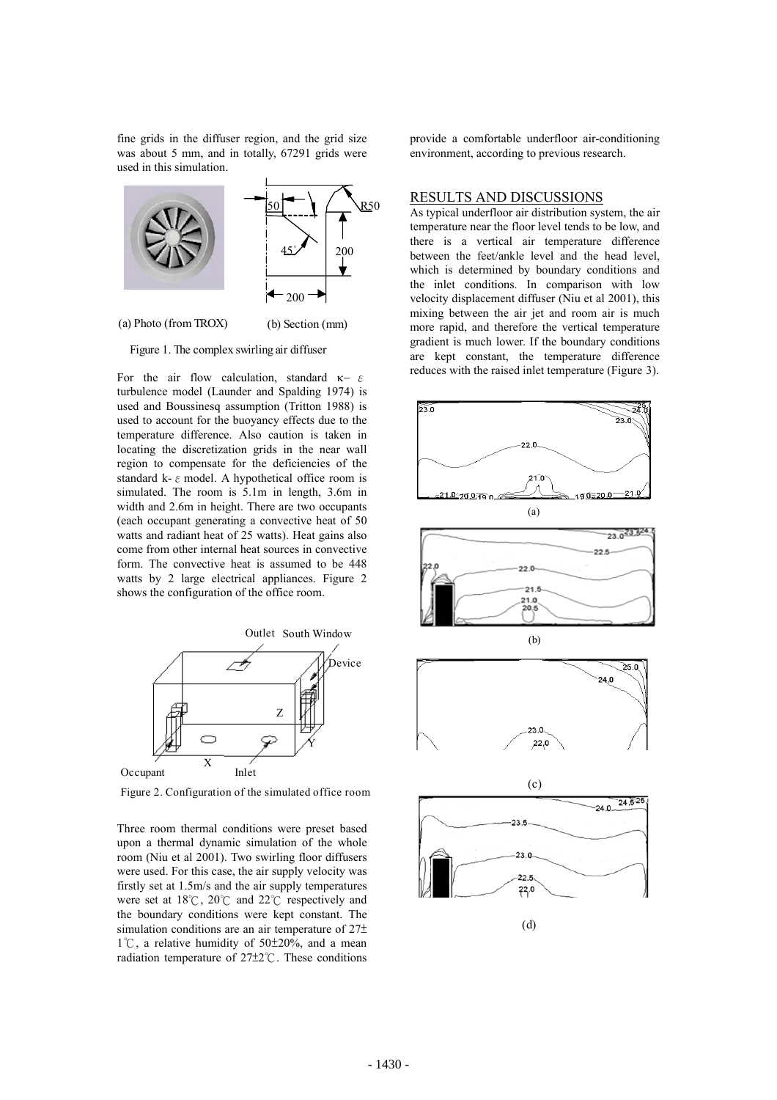fine grids in the diffuser region, and the grid size was about 5 mm, and in totally, 67291 grids were used in this simulation.



Figure 1. The complex swirling air diffuser

For the air flow calculation, standard  $\kappa$  =  $\varepsilon$ turbulence model (Launder and Spalding 1974) is used and Boussinesq assumption (Tritton 1988) is used to account for the buoyancy effects due to the temperature difference. Also caution is taken in locating the discretization grids in the near wall region to compensate for the deficiencies of the standard k- $\varepsilon$  model. A hypothetical office room is simulated. The room is 5.1m in length, 3.6m in width and 2.6m in height. There are two occupants (each occupant generating a convective heat of 50 watts and radiant heat of 25 watts). Heat gains also come from other internal heat sources in convective form. The convective heat is assumed to be 448 watts by 2 large electrical appliances. Figure 2 shows the configuration of the office room.



Figure 2. Configuration of the simulated office room

Three room thermal conditions were preset based upon a thermal dynamic simulation of the whole room (Niu et al 2001). Two swirling floor diffusers were used. For this case, the air supply velocity was firstly set at 1.5m/s and the air supply temperatures were set at  $18^{\circ}$ C,  $20^{\circ}$ C and  $22^{\circ}$ C respectively and the boundary conditions were kept constant. The simulation conditions are an air temperature of  $27\pm$  $1^{\circ}$ C, a relative humidity of 50 $\pm$ 20%, and a mean radiation temperature of  $27±2^{\circ}$ . These conditions

provide a comfortable underfloor air-conditioning environment, according to previous research.

#### RESULTS AND DISCUSSIONS

As typical underfloor air distribution system, the air temperature near the floor level tends to be low, and there is a vertical air temperature difference between the feet/ankle level and the head level, which is determined by boundary conditions and the inlet conditions. In comparison with low velocity displacement diffuser (Niu et al 2001), this mixing between the air jet and room air is much more rapid, and therefore the vertical temperature gradient is much lower. If the boundary conditions are kept constant, the temperature difference reduces with the raised inlet temperature (Figure 3).

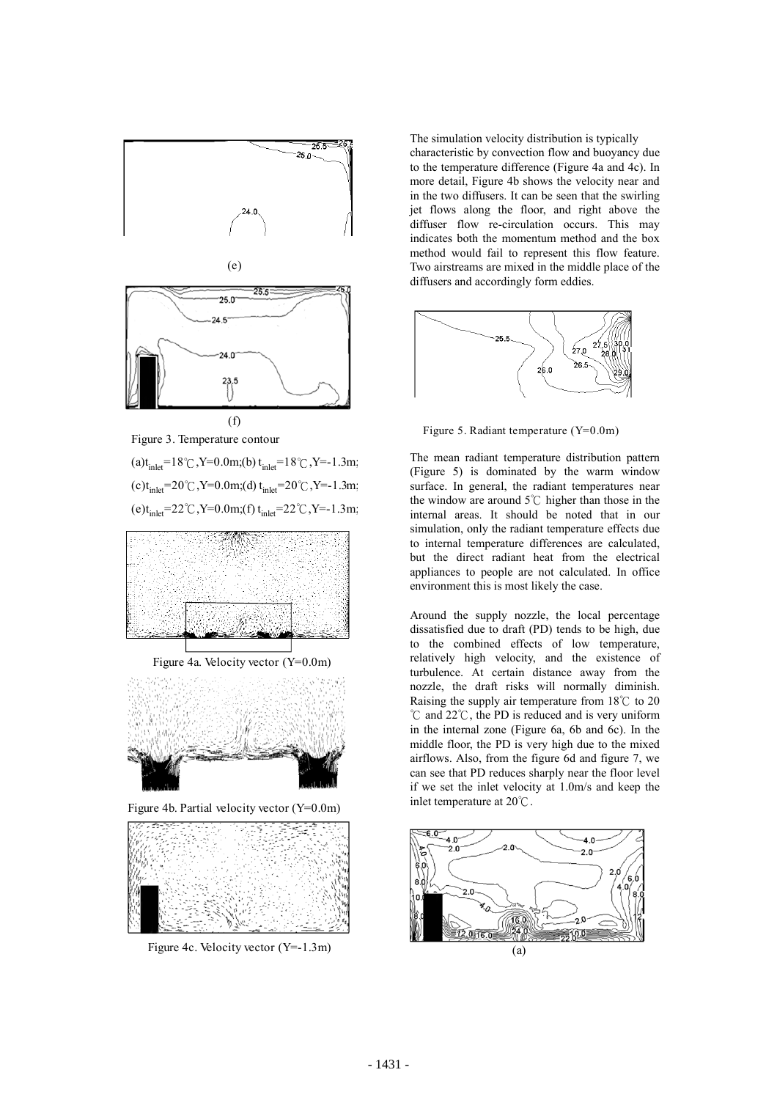



Figure 4b. Partial velocity vector (Y=0.0m)



Figure 4c. Velocity vector (Y=-1.3m)

The simulation velocity distribution is typically characteristic by convection flow and buoyancy due to the temperature difference (Figure 4a and 4c). In more detail, Figure 4b shows the velocity near and in the two diffusers. It can be seen that the swirling jet flows along the floor, and right above the diffuser flow re-circulation occurs. This may indicates both the momentum method and the box method would fail to represent this flow feature. Two airstreams are mixed in the middle place of the diffusers and accordingly form eddies.



Figure 5. Radiant temperature (Y=0.0m)

The mean radiant temperature distribution pattern (Figure 5) is dominated by the warm window surface. In general, the radiant temperatures near the window are around  $5^{\circ}$ C higher than those in the internal areas. It should be noted that in our simulation, only the radiant temperature effects due to internal temperature differences are calculated, but the direct radiant heat from the electrical appliances to people are not calculated. In office environment this is most likely the case.

Around the supply nozzle, the local percentage dissatisfied due to draft (PD) tends to be high, due to the combined effects of low temperature, relatively high velocity, and the existence of turbulence. At certain distance away from the nozzle, the draft risks will normally diminish. Raising the supply air temperature from  $18^{\circ}$  to 20  $^{\circ}$ C and 22 $^{\circ}$ C, the PD is reduced and is very uniform in the internal zone (Figure 6a, 6b and 6c). In the middle floor, the PD is very high due to the mixed airflows. Also, from the figure 6d and figure 7, we can see that PD reduces sharply near the floor level if we set the inlet velocity at 1.0m/s and keep the inlet temperature at  $20^{\circ}$ C.

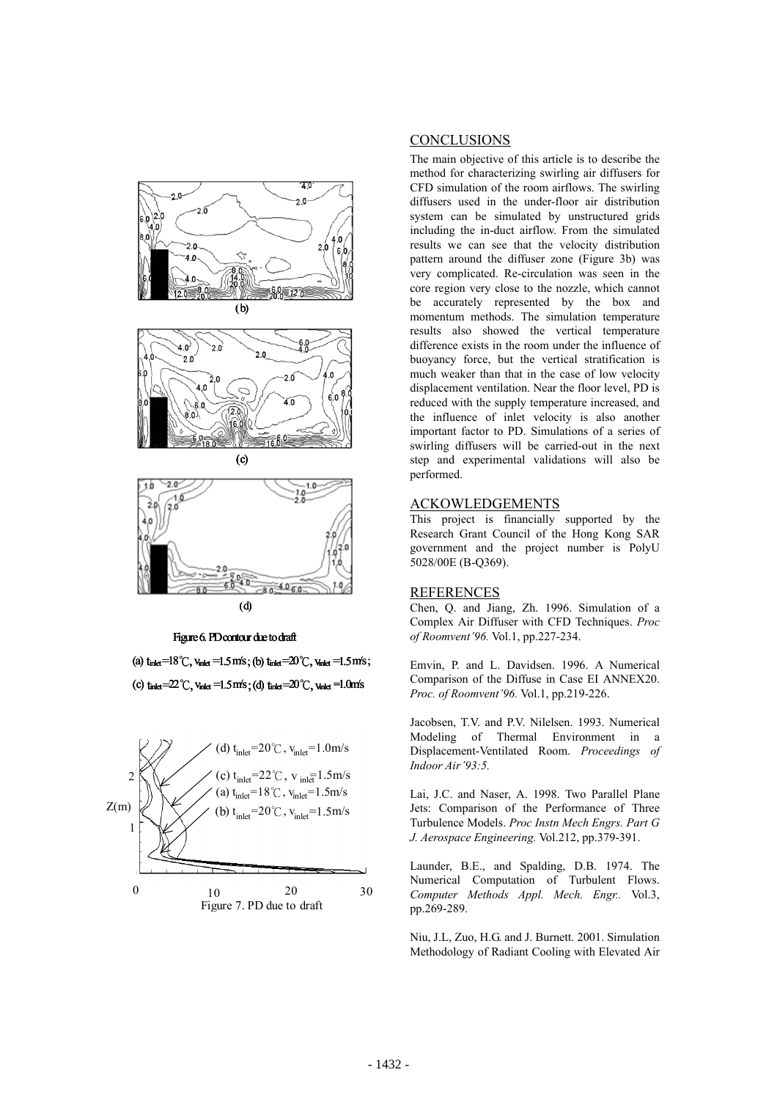

(d)

#### Figure 6. PD contour due to draft

(a)  $t_{\text{inlet}}$  =18°C,  $v_{\text{inlet}}$  =1.5 m/s; (b)  $t_{\text{inlet}}$  =20°C,  $v_{\text{inlet}}$  =1.5 m/s; (c)  $t_{\text{inlet}} = 22^{\circ}$ C,  $v_{\text{inlet}} = 1.5$ m/s;(d)  $t_{\text{inlet}} = 20^{\circ}$ C,  $v_{\text{inlet}} = 1.0$ m/s



## **CONCLUSIONS**

The main objective of this article is to describe the method for characterizing swirling air diffusers for CFD simulation of the room airflows. The swirling diffusers used in the under-floor air distribution system can be simulated by unstructured grids including the in-duct airflow. From the simulated results we can see that the velocity distribution pattern around the diffuser zone (Figure 3b) was very complicated. Re-circulation was seen in the core region very close to the nozzle, which cannot be accurately represented by the box and momentum methods. The simulation temperature results also showed the vertical temperature difference exists in the room under the influence of buoyancy force, but the vertical stratification is much weaker than that in the case of low velocity displacement ventilation. Near the floor level, PD is reduced with the supply temperature increased, and the influence of inlet velocity is also another important factor to PD. Simulations of a series of swirling diffusers will be carried-out in the next step and experimental validations will also be performed.

### ACKOWLEDGEMENTS

This project is financially supported by the Research Grant Council of the Hong Kong SAR government and the project number is PolyU 5028/00E (B-Q369).

### REFERENCES

Chen, Q. and Jiang, Zh. 1996. Simulation of a Complex Air Diffuser with CFD Techniques. *Proc of Roomvent'96.* Vol.1, pp.227-234.

Emvin, P. and L. Davidsen. 1996. A Numerical Comparison of the Diffuse in Case EI ANNEX20. *Proc. of Roomvent'96.* Vol.1, pp.219-226.

Jacobsen, T.V. and P.V. Nilelsen. 1993. Numerical Modeling of Thermal Environment in a Displacement-Ventilated Room. *Proceedings of Indoor Air'93:5.* 

Lai, J.C. and Naser, A. 1998. Two Parallel Plane Jets: Comparison of the Performance of Three Turbulence Models. *Proc Instn Mech Engrs. Part G J. Aerospace Engineering.* Vol.212, pp.379-391.

Launder, B.E., and Spalding, D.B. 1974. The Numerical Computation of Turbulent Flows. *Computer Methods Appl. Mech. Engr..* Vol.3, pp.269-289.

Niu, J.L, Zuo, H.G. and J. Burnett. 2001. Simulation Methodology of Radiant Cooling with Elevated Air